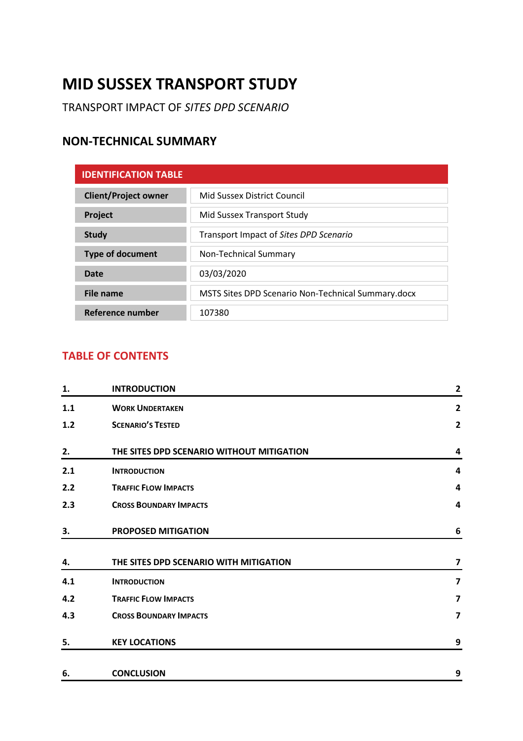# **MID SUSSEX TRANSPORT STUDY**

TRANSPORT IMPACT OF *SITES DPD SCENARIO*

# **NON-TECHNICAL SUMMARY**

| <b>IDENTIFICATION TABLE</b> |                                                    |
|-----------------------------|----------------------------------------------------|
| <b>Client/Project owner</b> | Mid Sussex District Council                        |
| Project                     | Mid Sussex Transport Study                         |
| <b>Study</b>                | Transport Impact of Sites DPD Scenario             |
| <b>Type of document</b>     | Non-Technical Summary                              |
| Date                        | 03/03/2020                                         |
| File name                   | MSTS Sites DPD Scenario Non-Technical Summary.docx |
| Reference number            | 107380                                             |

# **TABLE OF CONTENTS**

| 1.  | <b>INTRODUCTION</b>                       | $\mathbf{2}$            |
|-----|-------------------------------------------|-------------------------|
| 1.1 | <b>WORK UNDERTAKEN</b>                    | $\overline{2}$          |
| 1.2 | <b>SCENARIO'S TESTED</b>                  | $\overline{2}$          |
| 2.  | THE SITES DPD SCENARIO WITHOUT MITIGATION | 4                       |
| 2.1 | <b>INTRODUCTION</b>                       | $\overline{\mathbf{4}}$ |
| 2.2 | <b>TRAFFIC FLOW IMPACTS</b>               | 4                       |
| 2.3 | <b>CROSS BOUNDARY IMPACTS</b>             | 4                       |
| 3.  | <b>PROPOSED MITIGATION</b>                | 6                       |
| 4.  | THE SITES DPD SCENARIO WITH MITIGATION    | $\overline{\mathbf{z}}$ |
| 4.1 | <b>INTRODUCTION</b>                       | $\overline{\mathbf{z}}$ |
| 4.2 | <b>TRAFFIC FLOW IMPACTS</b>               | $\overline{\mathbf{z}}$ |
| 4.3 | <b>CROSS BOUNDARY IMPACTS</b>             | $\overline{\mathbf{z}}$ |
| 5.  | <b>KEY LOCATIONS</b>                      | 9                       |
| 6.  | <b>CONCLUSION</b>                         | 9                       |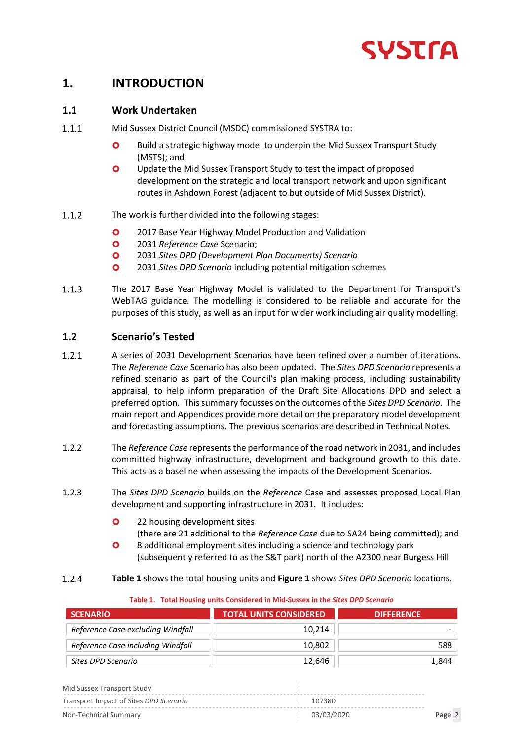

# **1. INTRODUCTION**

### **1.1 Work Undertaken**

- $1.1.1$ Mid Sussex District Council (MSDC) commissioned SYSTRA to:
	- **O** Build a strategic highway model to underpin the Mid Sussex Transport Study (MSTS); and
	- **O** Update the Mid Sussex Transport Study to test the impact of proposed development on the strategic and local transport network and upon significant routes in Ashdown Forest (adjacent to but outside of Mid Sussex District)*.*
- $1.1.2$ The work is further divided into the following stages:
	- **O** 2017 Base Year Highway Model Production and Validation
	- 2031 *Reference Case* Scenario;
	- 2031 *Sites DPD (Development Plan Documents) Scenario*
	- 2031 *Sites DPD Scenario* including potential mitigation schemes
- $1.1.3$ The 2017 Base Year Highway Model is validated to the Department for Transport's WebTAG guidance. The modelling is considered to be reliable and accurate for the purposes of this study, as well as an input for wider work including air quality modelling.

# **1.2 Scenario's Tested**

- $1.2.1$ A series of 2031 Development Scenarios have been refined over a number of iterations. The *Reference Case* Scenario has also been updated. The *Sites DPD Scenario* represents a refined scenario as part of the Council's plan making process, including sustainability appraisal, to help inform preparation of the Draft Site Allocations DPD and select a preferred option*.* This summary focusses on the outcomes of the *Sites DPD Scenario*. The main report and Appendices provide more detail on the preparatory model development and forecasting assumptions. The previous scenarios are described in Technical Notes.
- 1.2.2 The *Reference Case* represents the performance of the road network in 2031, and includes committed highway infrastructure, development and background growth to this date. This acts as a baseline when assessing the impacts of the Development Scenarios.
- 1.2.3 The *Sites DPD Scenario* builds on the *Reference* Case and assesses proposed Local Plan development and supporting infrastructure in 2031*.* It includes:
	- **O** 22 housing development sites (there are 21 additional to the *Reference Case* due to SA24 being committed); and
	- **O** 8 additional employment sites including a science and technology park (subsequently referred to as the S&T park) north of the A2300 near Burgess Hill
- $1.2.4$ **Table 1** shows the total housing units and **Figure 1** shows *Sites DPD Scenario* locations.

| <b>SCENARIO</b>                   | <b>TOTAL UNITS CONSIDERED</b> | <b>DIFFERENCE</b> |
|-----------------------------------|-------------------------------|-------------------|
| Reference Case excluding Windfall | 10.214                        |                   |
| Reference Case including Windfall | 10.802                        | 588               |
| Sites DPD Scenario                | 12.646                        | 1,844             |

#### **Table 1. Total Housing units Considered in Mid-Sussex in the** *Sites DPD Scenario*

| Mid Sussex Transport Study             |            |        |  |
|----------------------------------------|------------|--------|--|
| Transport Impact of Sites DPD Scengrio | 107380     |        |  |
| Non-Technical Summary                  | 03/03/2020 | Page 2 |  |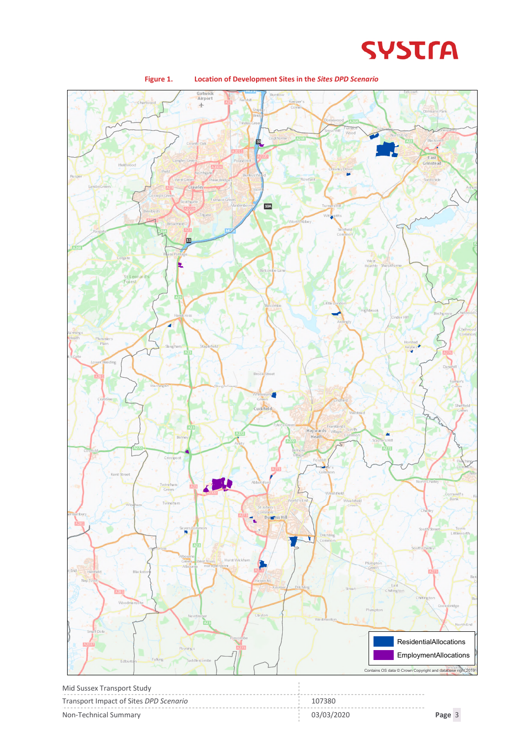



| <b>TVIIU JUSSEA TTAIISPOIT STUUV</b>   |            |        |
|----------------------------------------|------------|--------|
| Transport Impact of Sites DPD Scenario | 107380     |        |
| Non-Technical Summary                  | 03/03/2020 | Page 3 |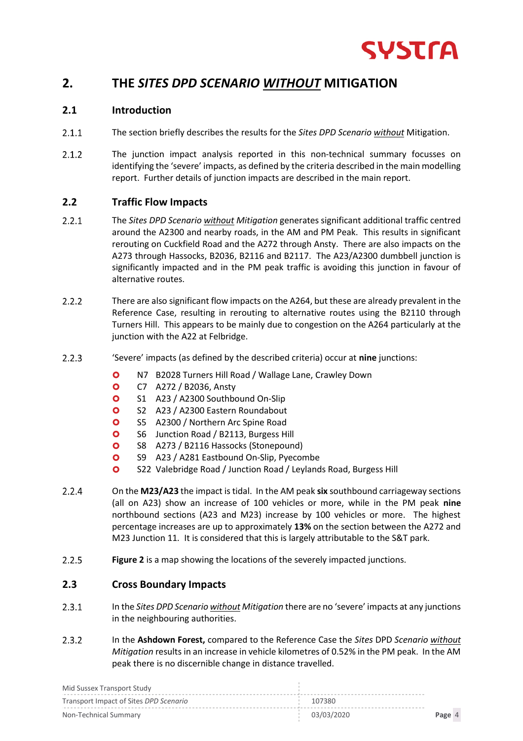

# **2. THE** *SITES DPD SCENARIO WITHOUT* **MITIGATION**

### **2.1 Introduction**

- $2.1.1$ The section briefly describes the results for the *Sites DPD Scenario without* Mitigation.
- $2.1.2$ The junction impact analysis reported in this non-technical summary focusses on identifying the 'severe' impacts, as defined by the criteria described in the main modelling report. Further details of junction impacts are described in the main report.

# **2.2 Traffic Flow Impacts**

- $2.2.1$ The *Sites DPD Scenario without Mitigation* generates significant additional traffic centred around the A2300 and nearby roads, in the AM and PM Peak. This results in significant rerouting on Cuckfield Road and the A272 through Ansty. There are also impacts on the A273 through Hassocks, B2036, B2116 and B2117. The A23/A2300 dumbbell junction is significantly impacted and in the PM peak traffic is avoiding this junction in favour of alternative routes.
- $2.2.2$ There are also significant flow impacts on the A264, but these are already prevalent in the Reference Case, resulting in rerouting to alternative routes using the B2110 through Turners Hill. This appears to be mainly due to congestion on the A264 particularly at the junction with the A22 at Felbridge.
- $2.2.3$ 'Severe' impacts (as defined by the described criteria) occur at **nine** junctions:
	- **O** N7 B2028 Turners Hill Road / Wallage Lane, Crawley Down
	- C7 A272 / B2036, Ansty
	- **O** S1 A23 / A2300 Southbound On-Slip
	- **O** S2 A23 / A2300 Eastern Roundabout
	- **O** S5 A2300 / Northern Arc Spine Road
	- **O** S6 Junction Road / B2113, Burgess Hill
	- **O** S8 A273 / B2116 Hassocks (Stonepound)
	- **O** S9 A23 / A281 Eastbound On-Slip, Pyecombe
	- **O** S22 Valebridge Road / Junction Road / Leylands Road, Burgess Hill
- $2.2.4$ On the **M23/A23** the impact is tidal. In the AM peak **six** southbound carriageway sections (all on A23) show an increase of 100 vehicles or more, while in the PM peak **nine** northbound sections (A23 and M23) increase by 100 vehicles or more. The highest percentage increases are up to approximately **13%** on the section between the A272 and M23 Junction 11*.* It is considered that this is largely attributable to the S&T park.
- $2.2.5$ **Figure 2** is a map showing the locations of the severely impacted junctions.

### **2.3 Cross Boundary Impacts**

- $2.3.1$ In the *Sites DPD Scenario without Mitigation* there are no 'severe' impacts at any junctions in the neighbouring authorities.
- $2.3.2$ In the **Ashdown Forest,** compared to the Reference Case the *Sites* DPD *Scenario without Mitigation* results in an increase in vehicle kilometres of 0.52% in the PM peak. In the AM peak there is no discernible change in distance travelled.

| Mid Sussex Transport Study             |            |        |
|----------------------------------------|------------|--------|
| Transport Impact of Sites DPD Scenario | 107380     |        |
| Non-Technical Summary                  | 03/03/2020 | Page 4 |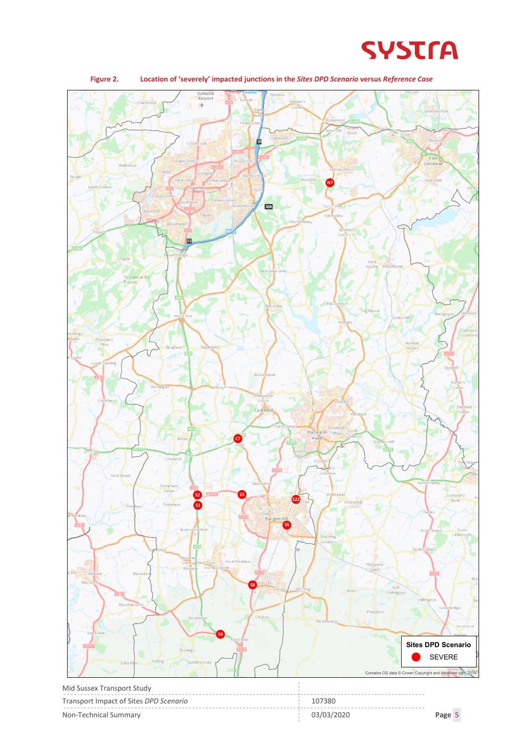



Non-Technical Summary 03/03/2020 **Page** 5

**Figure 2. Location of 'severely' impacted junctions in the** *Sites DPD Scenario* **versus** *Reference Case*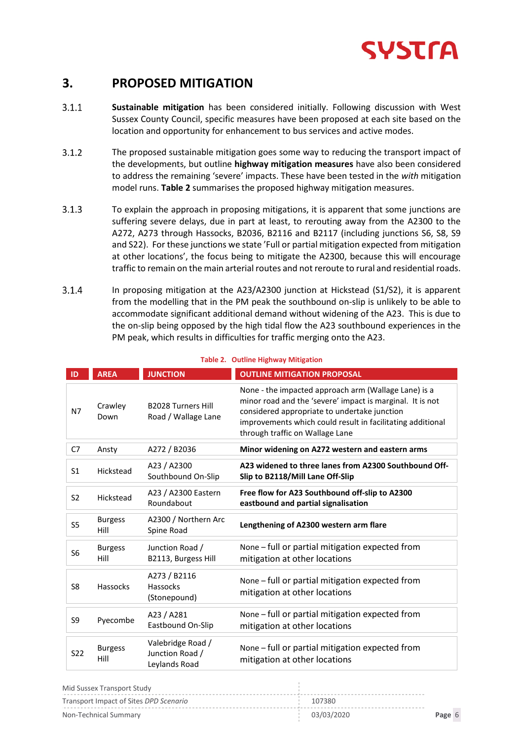

# **3. PROPOSED MITIGATION**

- **Sustainable mitigation** has been considered initially. Following discussion with West  $3.1.1$ Sussex County Council, specific measures have been proposed at each site based on the location and opportunity for enhancement to bus services and active modes.
- $3.1.2$ The proposed sustainable mitigation goes some way to reducing the transport impact of the developments, but outline **highway mitigation measures** have also been considered to address the remaining 'severe' impacts. These have been tested in the *with* mitigation model runs. **Table 2** summarises the proposed highway mitigation measures.
- $3.1.3$ To explain the approach in proposing mitigations, it is apparent that some junctions are suffering severe delays, due in part at least, to rerouting away from the A2300 to the A272, A273 through Hassocks, B2036, B2116 and B2117 (including junctions S6, S8, S9 and S22). For these junctions we state 'Full or partial mitigation expected from mitigation at other locations', the focus being to mitigate the A2300, because this will encourage traffic to remain on the main arterial routes and not reroute to rural and residential roads.
- $3.1.4$ In proposing mitigation at the A23/A2300 junction at Hickstead (S1/S2), it is apparent from the modelling that in the PM peak the southbound on-slip is unlikely to be able to accommodate significant additional demand without widening of the A23. This is due to the on-slip being opposed by the high tidal flow the A23 southbound experiences in the PM peak, which results in difficulties for traffic merging onto the A23.

| ID              | <b>AREA</b>            | <b>JUNCTION</b>                                       | <b>OUTLINE MITIGATION PROPOSAL</b>                                                                                                                                                                                                                                 |
|-----------------|------------------------|-------------------------------------------------------|--------------------------------------------------------------------------------------------------------------------------------------------------------------------------------------------------------------------------------------------------------------------|
| N7              | Crawley<br>Down        | <b>B2028 Turners Hill</b><br>Road / Wallage Lane      | None - the impacted approach arm (Wallage Lane) is a<br>minor road and the 'severe' impact is marginal. It is not<br>considered appropriate to undertake junction<br>improvements which could result in facilitating additional<br>through traffic on Wallage Lane |
| C7              | Ansty                  | A272 / B2036                                          | Minor widening on A272 western and eastern arms                                                                                                                                                                                                                    |
| S <sub>1</sub>  | Hickstead              | A23 / A2300<br>Southbound On-Slip                     | A23 widened to three lanes from A2300 Southbound Off-<br>Slip to B2118/Mill Lane Off-Slip                                                                                                                                                                          |
| S <sub>2</sub>  | Hickstead              | A23 / A2300 Eastern<br>Roundabout                     | Free flow for A23 Southbound off-slip to A2300<br>eastbound and partial signalisation                                                                                                                                                                              |
| S <sub>5</sub>  | <b>Burgess</b><br>Hill | A2300 / Northern Arc<br>Spine Road                    | Lengthening of A2300 western arm flare                                                                                                                                                                                                                             |
| S <sub>6</sub>  | <b>Burgess</b><br>Hill | Junction Road /<br>B2113, Burgess Hill                | None – full or partial mitigation expected from<br>mitigation at other locations                                                                                                                                                                                   |
| S <sub>8</sub>  | Hassocks               | A273 / B2116<br>Hassocks<br>(Stonepound)              | None - full or partial mitigation expected from<br>mitigation at other locations                                                                                                                                                                                   |
| S <sub>9</sub>  | Pyecombe               | A23 / A281<br>Eastbound On-Slip                       | None - full or partial mitigation expected from<br>mitigation at other locations                                                                                                                                                                                   |
| S <sub>22</sub> | <b>Burgess</b><br>Hill | Valebridge Road /<br>Junction Road /<br>Leylands Road | None - full or partial mitigation expected from<br>mitigation at other locations                                                                                                                                                                                   |

#### **Table 2. Outline Highway Mitigation**

| Mid Sussex Transport Study             |            |        |
|----------------------------------------|------------|--------|
| Transport Impact of Sites DPD Scenario | 107380     |        |
| Non-Technical Summarv                  | 03/03/2020 | Page 6 |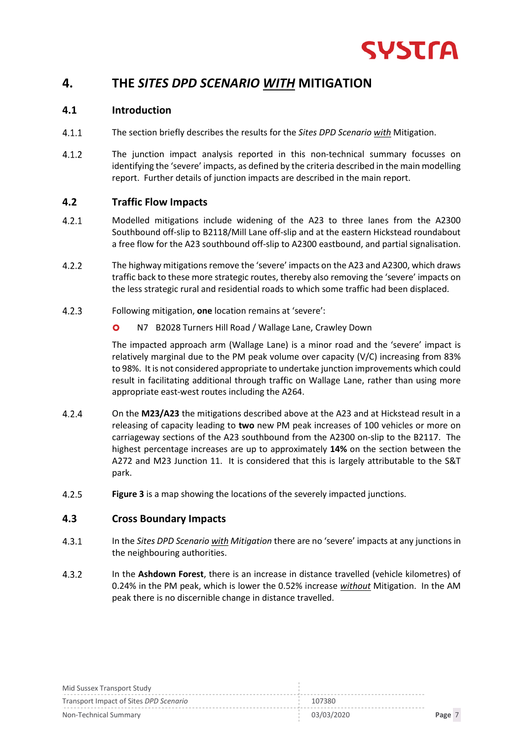

# **4. THE** *SITES DPD SCENARIO WITH* **MITIGATION**

### **4.1 Introduction**

- $4.1.1$ The section briefly describes the results for the *Sites DPD Scenario with* Mitigation.
- $4.1.2$ The junction impact analysis reported in this non-technical summary focusses on identifying the 'severe' impacts, as defined by the criteria described in the main modelling report. Further details of junction impacts are described in the main report.

# **4.2 Traffic Flow Impacts**

- $4.2.1$ Modelled mitigations include widening of the A23 to three lanes from the A2300 Southbound off-slip to B2118/Mill Lane off-slip and at the eastern Hickstead roundabout a free flow for the A23 southbound off-slip to A2300 eastbound, and partial signalisation.
- $4.2.2$ The highway mitigations remove the 'severe' impacts on the A23 and A2300, which draws traffic back to these more strategic routes, thereby also removing the 'severe' impacts on the less strategic rural and residential roads to which some traffic had been displaced*.*
- $4.2.3$ Following mitigation, **one** location remains at 'severe':
	- N7 B2028 Turners Hill Road / Wallage Lane, Crawley Down

The impacted approach arm (Wallage Lane) is a minor road and the 'severe' impact is relatively marginal due to the PM peak volume over capacity (V/C) increasing from 83% to 98%. It is not considered appropriate to undertake junction improvements which could result in facilitating additional through traffic on Wallage Lane, rather than using more appropriate east-west routes including the A264.

- $4.2.4$ On the **M23/A23** the mitigations described above at the A23 and at Hickstead result in a releasing of capacity leading to **two** new PM peak increases of 100 vehicles or more on carriageway sections of the A23 southbound from the A2300 on-slip to the B2117. The highest percentage increases are up to approximately **14%** on the section between the A272 and M23 Junction 11. It is considered that this is largely attributable to the S&T park.
- $4.2.5$ **Figure 3** is a map showing the locations of the severely impacted junctions.

### **4.3 Cross Boundary Impacts**

- $4.3.1$ In the *Sites DPD Scenario with Mitigation* there are no 'severe' impacts at any junctions in the neighbouring authorities.
- $4.3.2$ In the **Ashdown Forest**, there is an increase in distance travelled (vehicle kilometres) of 0.24% in the PM peak, which is lower the 0.52% increase *without* Mitigation. In the AM peak there is no discernible change in distance travelled.

| Mid Sussex Transport Study             |            |        |
|----------------------------------------|------------|--------|
| Transport Impact of Sites DPD Scenario | 107380     |        |
| Non-Technical Summary                  | 03/03/2020 | Page 7 |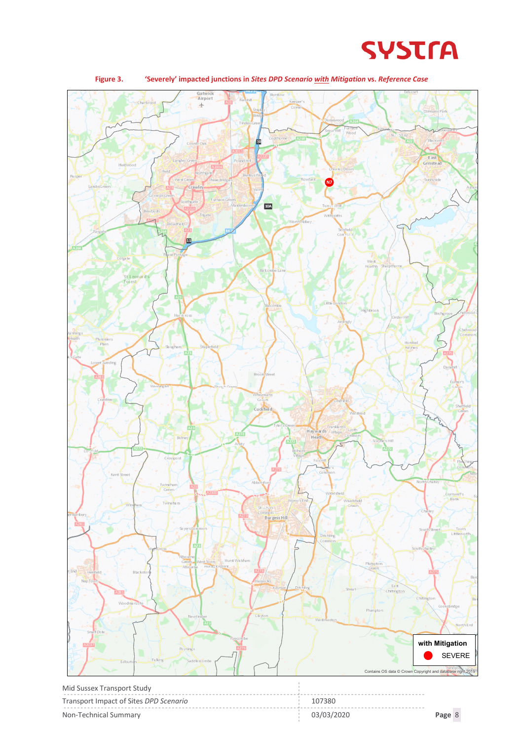



| 'Severely' impacted junctions in Sites DPD Scenario with Mitigation vs. Reference Case<br>Figure 3. |
|-----------------------------------------------------------------------------------------------------|
|-----------------------------------------------------------------------------------------------------|

| Mid Sussex Transport Study             |            |        |  |
|----------------------------------------|------------|--------|--|
| Transport Impact of Sites DPD Scenario | 107380     |        |  |
| Non-Technical Summary                  | 03/03/2020 | Page 8 |  |

 $\bar{1}$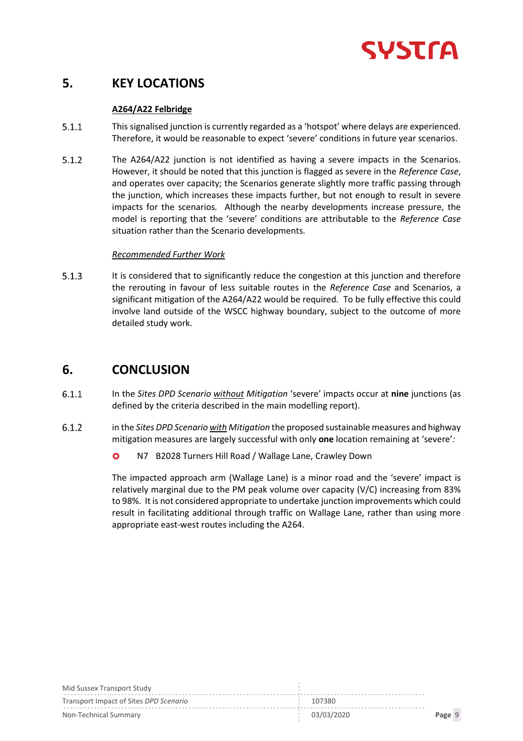

# **5. KEY LOCATIONS**

### **A264/A22 Felbridge**

- $5.1.1$ This signalised junction is currently regarded as a 'hotspot' where delays are experienced*.* Therefore, it would be reasonable to expect 'severe' conditions in future year scenarios.
- $5.1.2$ The A264/A22 junction is not identified as having a severe impacts in the Scenarios*.* However, it should be noted that this junction is flagged as severe in the *Reference Case*, and operates over capacity; the Scenarios generate slightly more traffic passing through the junction, which increases these impacts further, but not enough to result in severe impacts for the scenarios*.* Although the nearby developments increase pressure, the model is reporting that the 'severe' conditions are attributable to the *Reference Case* situation rather than the Scenario developments*.*

### *Recommended Further Work*

 $5.1.3$ It is considered that to significantly reduce the congestion at this junction and therefore the rerouting in favour of less suitable routes in the *Reference Case* and Scenarios, a significant mitigation of the A264/A22 would be required*.* To be fully effective this could involve land outside of the WSCC highway boundary, subject to the outcome of more detailed study work.

# **6. CONCLUSION**

- $6.1.1$ In the *Sites DPD Scenario without Mitigation* 'severe' impacts occur at **nine** junctions (as defined by the criteria described in the main modelling report).
- $6.1.2$ in the *Sites DPD Scenario with Mitigation* the proposed sustainable measures and highway mitigation measures are largely successful with only **one** location remaining at 'severe'*:*
	- **O** N7 B2028 Turners Hill Road / Wallage Lane, Crawley Down

The impacted approach arm (Wallage Lane) is a minor road and the 'severe' impact is relatively marginal due to the PM peak volume over capacity (V/C) increasing from 83% to 98%. It is not considered appropriate to undertake junction improvements which could result in facilitating additional through traffic on Wallage Lane, rather than using more appropriate east-west routes including the A264.

| Mid Sussex Transport Study             |            |        |
|----------------------------------------|------------|--------|
| Transport Impact of Sites DPD Scenario | 107380     |        |
| Non-Technical Summary                  | 03/03/2020 | Page 9 |